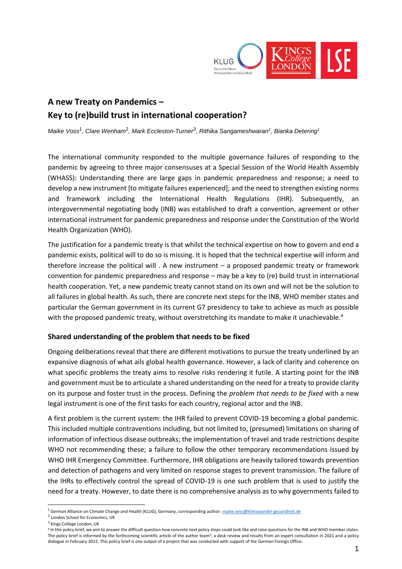

# **A new Treaty on Pandemics – Key to (re)build trust in international cooperation?**

*Maike Voss*<sup>1</sup> *, Clare Wenham*<sup>2</sup> *, Mark Eccleston-Turner*<sup>3</sup> *, Rithika Sangameshwaran<sup>1</sup> , Bianka Detering<sup>1</sup>*

The international community responded to the multiple governance failures of responding to the pandemic by agreeing to three major consensuses at a Special Session of the World Health Assembly (WHASS): Understanding there are large gaps in pandemic preparedness and response; a need to develop a new instrument [to mitigate failures experienced]; and the need to strengthen existing norms and framework including the International Health Regulations (IHR). Subsequently, an intergovernmental negotiating body (INB) was established to draft a convention, agreement or other international instrument for pandemic preparedness and response under the Constitution of the World Health Organization (WHO).

The justification for a pandemic treaty is that whilst the technical expertise on how to govern and end a pandemic exists, political will to do so is missing. It is hoped that the technical expertise will inform and therefore increase the political will . A new instrument – a proposed pandemic treaty or framework convention for pandemic preparedness and response – may be a key to (re) build trust in international health cooperation. Yet, a new pandemic treaty cannot stand on its own and will not be the solution to all failures in global health. As such, there are concrete next steps for the INB, WHO member states and particular the German government in its current G7 presidency to take to achieve as much as possible with the proposed pandemic treaty, without overstretching its mandate to make it unachievable.<sup>4</sup>

#### **Shared understanding of the problem that needs to be fixed**

Ongoing deliberations reveal that there are different motivations to pursue the treaty underlined by an expansive diagnosis of what ails global health governance. However, a lack of clarity and coherence on what specific problems the treaty aims to resolve risks rendering it futile. A starting point for the INB and government must be to articulate a shared understanding on the need for a treaty to provide clarity on its purpose and foster trust in the process. Defining the *problem that needs to be fixed* with a new legal instrument is one of the first tasks for each country, regional actor and the INB.

A first problem is the current system: the IHR failed to prevent COVID-19 becoming a global pandemic. This included multiple contraventions including, but not limited to, (presumed) limitations on sharing of information of infectious disease outbreaks; the implementation of travel and trade restrictions despite WHO not recommending these; a failure to follow the other temporary recommendations issued by WHO IHR Emergency Committee. Furthermore, IHR obligations are heavily tailored towards prevention and detection of pathogens and very limited on response stages to prevent transmission. The failure of the IHRs to effectively control the spread of COVID-19 is one such problem that is used to justify the need for a treaty. However, to date there is no comprehensive analysis as to why governments failed to

- <sup>2</sup> London School for Economics, UK
- <sup>3</sup> Kings College London, UK

 $\overline{a}$ 

<sup>&</sup>lt;sup>1</sup> German Alliance on Climate Change and Health (KLUG), Germany, corresponding author: **maike.voss@klimawandel-gesundheit.de** 

<sup>&</sup>lt;sup>4</sup> In this policy brief, we aim to answer the difficult question how concrete next policy steps could look like and raise questions for the INB and WHO member states. The policy brief is informed by the forthcoming scientific article of the author team<sup>4</sup>, a desk review and results from an expert consultation in 2021 and a policy dialogue in February 2022. This policy brief is one output of a project that was conducted with support of the German Foreign Office.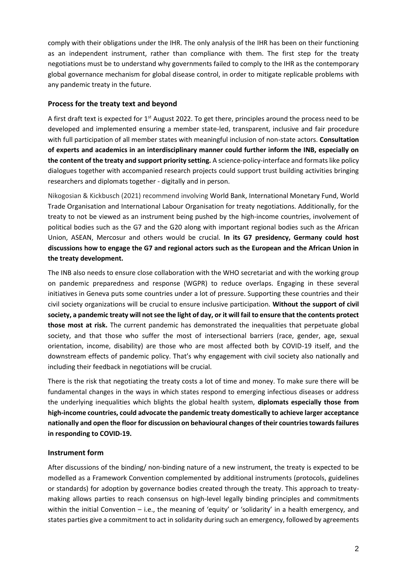comply with their obligations under the IHR. The only analysis of the IHR has been on their functioning as an independent instrument, rather than compliance with them. The first step for the treaty negotiations must be to understand why governments failed to comply to the IHR as the contemporary global governance mechanism for global disease control, in order to mitigate replicable problems with any pandemic treaty in the future.

# **Process for the treaty text and beyond**

A first draft text is expected for  $1<sup>st</sup>$  August 2022. To get there, principles around the process need to be developed and implemented ensuring a member state-led, transparent, inclusive and fair procedure with full participation of all member states with meaningful inclusion of non-state actors. **Consultation of experts and academics in an interdisciplinary manner could further inform the INB, especially on the content of the treaty and support priority setting.** A science-policy-interface and formats like policy dialogues together with accompanied research projects could support trust building activities bringing researchers and diplomats together - digitally and in person.

Nikogosian & Kickbusch (2021) recommend involving World Bank, International Monetary Fund, World Trade Organisation and International Labour Organisation for treaty negotiations. Additionally, for the treaty to not be viewed as an instrument being pushed by the high-income countries, involvement of political bodies such as the G7 and the G20 along with important regional bodies such as the African Union, ASEAN, Mercosur and others would be crucial. **In its G7 presidency, Germany could host discussions how to engage the G7 and regional actors such as the European and the African Union in the treaty development.**

The INB also needs to ensure close collaboration with the WHO secretariat and with the working group on pandemic preparedness and response (WGPR) to reduce overlaps. Engaging in these several initiatives in Geneva puts some countries under a lot of pressure. Supporting these countries and their civil society organizations will be crucial to ensure inclusive participation. **Without the support of civil society, a pandemic treaty will not see the light of day, or it will fail to ensure that the contents protect those most at risk.** The current pandemic has demonstrated the inequalities that perpetuate global society, and that those who suffer the most of intersectional barriers (race, gender, age, sexual orientation, income, disability) are those who are most affected both by COVID-19 itself, and the downstream effects of pandemic policy. That's why engagement with civil society also nationally and including their feedback in negotiations will be crucial.

There is the risk that negotiating the treaty costs a lot of time and money. To make sure there will be fundamental changes in the ways in which states respond to emerging infectious diseases or address the underlying inequalities which blights the global health system, **diplomats especially those from high-income countries, could advocate the pandemic treaty domestically to achieve larger acceptance nationally and open the floor for discussion on behavioural changes of their countries towards failures in responding to COVID-19.** 

## **Instrument form**

After discussions of the binding/ non-binding nature of a new instrument, the treaty is expected to be modelled as a Framework Convention complemented by additional instruments (protocols, guidelines or standards) for adoption by governance bodies created through the treaty. This approach to treatymaking allows parties to reach consensus on high-level legally binding principles and commitments within the initial Convention – i.e., the meaning of 'equity' or 'solidarity' in a health emergency, and states parties give a commitment to act in solidarity during such an emergency, followed by agreements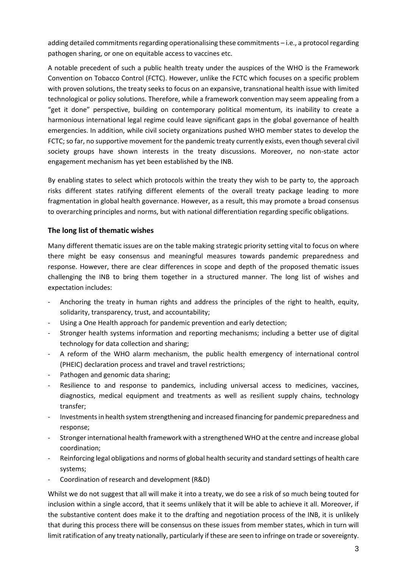adding detailed commitments regarding operationalising these commitments – i.e., a protocol regarding pathogen sharing, or one on equitable access to vaccines etc.

A notable precedent of such a public health treaty under the auspices of the WHO is the Framework Convention on Tobacco Control (FCTC). However, unlike the FCTC which focuses on a specific problem with proven solutions, the treaty seeks to focus on an expansive, transnational health issue with limited technological or policy solutions. Therefore, while a framework convention may seem appealing from a "get it done" perspective, building on contemporary political momentum, its inability to create a harmonious international legal regime could leave significant gaps in the global governance of health emergencies. In addition, while civil society organizations pushed WHO member states to develop the FCTC; so far, no supportive movement for the pandemic treaty currently exists, even though several civil society groups have shown interests in the treaty discussions. Moreover, no non-state actor engagement mechanism has yet been established by the INB.

By enabling states to select which protocols within the treaty they wish to be party to, the approach risks different states ratifying different elements of the overall treaty package leading to more fragmentation in global health governance. However, as a result, this may promote a broad consensus to overarching principles and norms, but with national differentiation regarding specific obligations.

# **The long list of thematic wishes**

Many different thematic issues are on the table making strategic priority setting vital to focus on where there might be easy consensus and meaningful measures towards pandemic preparedness and response. However, there are clear differences in scope and depth of the proposed thematic issues challenging the INB to bring them together in a structured manner. The long list of wishes and expectation includes:

- Anchoring the treaty in human rights and address the principles of the right to health, equity, solidarity, transparency, trust, and accountability;
- Using a One Health approach for pandemic prevention and early detection;
- Stronger health systems information and reporting mechanisms; including a better use of digital technology for data collection and sharing;
- A reform of the WHO alarm mechanism, the public health emergency of international control (PHEIC) declaration process and travel and travel restrictions;
- Pathogen and genomic data sharing;
- Resilience to and response to pandemics, including universal access to medicines, vaccines, diagnostics, medical equipment and treatments as well as resilient supply chains, technology transfer;
- Investments in health system strengthening and increased financing for pandemic preparedness and response;
- Stronger international health framework with a strengthened WHO at the centre and increase global coordination;
- Reinforcing legal obligations and norms of global health security and standard settings of health care systems;
- Coordination of research and development (R&D)

Whilst we do not suggest that all will make it into a treaty, we do see a risk of so much being touted for inclusion within a single accord, that it seems unlikely that it will be able to achieve it all. Moreover, if the substantive content does make it to the drafting and negotiation process of the INB, it is unlikely that during this process there will be consensus on these issues from member states, which in turn will limit ratification of any treaty nationally, particularly if these are seen to infringe on trade or sovereignty.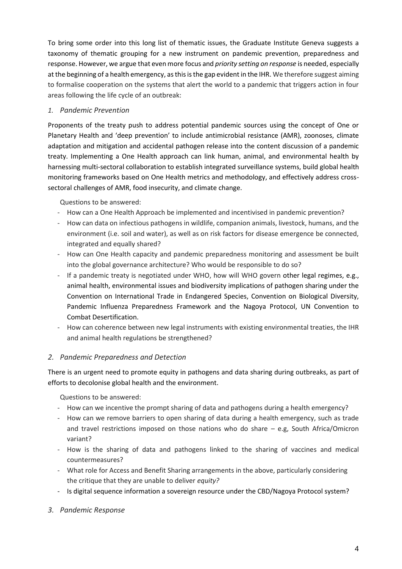To bring some order into this long list of thematic issues, the Graduate Institute Geneva suggests a taxonomy of thematic grouping for a new instrument on pandemic prevention, preparedness and response. However, we argue that even more focus and *priority setting on response* is needed, especially at the beginning of a health emergency, as this is the gap evident in the IHR. We therefore suggest aiming to formalise cooperation on the systems that alert the world to a pandemic that triggers action in four areas following the life cycle of an outbreak:

# *1. Pandemic Prevention*

Proponents of the treaty push to address potential pandemic sources using the concept of One or Planetary Health and 'deep prevention' to include antimicrobial resistance (AMR), zoonoses, climate adaptation and mitigation and accidental pathogen release into the content discussion of a pandemic treaty. Implementing a One Health approach can link human, animal, and environmental health by harnessing multi-sectoral collaboration to establish integrated surveillance systems, build global health monitoring frameworks based on One Health metrics and methodology, and effectively address crosssectoral challenges of AMR, food insecurity, and climate change.

Questions to be answered:

- How can a One Health Approach be implemented and incentivised in pandemic prevention?
- How can data on infectious pathogens in wildlife, companion animals, livestock, humans, and the environment (i.e. soil and water), as well as on risk factors for disease emergence be connected, integrated and equally shared?
- How can One Health capacity and pandemic preparedness monitoring and assessment be built into the global governance architecture? Who would be responsible to do so?
- If a pandemic treaty is negotiated under WHO, how will WHO govern other legal regimes, e.g., animal health, environmental issues and biodiversity implications of pathogen sharing under the Convention on International Trade in Endangered Species, Convention on Biological Diversity, Pandemic Influenza Preparedness Framework and the Nagoya Protocol, UN Convention to Combat Desertification.
- How can coherence between new legal instruments with existing environmental treaties, the IHR and animal health regulations be strengthened?

## *2. Pandemic Preparedness and Detection*

There is an urgent need to promote equity in pathogens and data sharing during outbreaks, as part of efforts to decolonise global health and the environment.

Questions to be answered:

- How can we incentive the prompt sharing of data and pathogens during a health emergency?
- How can we remove barriers to open sharing of data during a health emergency, such as trade and travel restrictions imposed on those nations who do share – e.g, South Africa/Omicron variant?
- How is the sharing of data and pathogens linked to the sharing of vaccines and medical countermeasures?
- What role for Access and Benefit Sharing arrangements in the above, particularly considering the critique that they are unable to deliver *equity?*
- Is digital sequence information a sovereign resource under the CBD/Nagoya Protocol system?
- *3. Pandemic Response*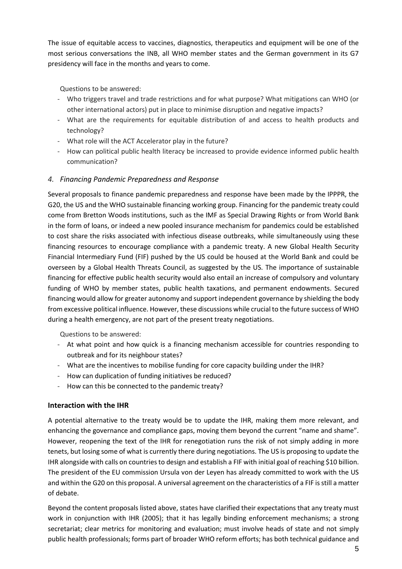The issue of equitable access to vaccines, diagnostics, therapeutics and equipment will be one of the most serious conversations the INB, all WHO member states and the German government in its G7 presidency will face in the months and years to come.

Questions to be answered:

- Who triggers travel and trade restrictions and for what purpose? What mitigations can WHO (or other international actors) put in place to minimise disruption and negative impacts?
- What are the requirements for equitable distribution of and access to health products and technology?
- What role will the ACT Accelerator play in the future?
- How can political public health literacy be increased to provide evidence informed public health communication?

# *4. Financing Pandemic Preparedness and Response*

Several proposals to finance pandemic preparedness and response have been made by the IPPPR, the G20, the US and the WHO sustainable financing working group. Financing for the pandemic treaty could come from Bretton Woods institutions, such as the IMF as Special Drawing Rights or from World Bank in the form of loans, or indeed a new pooled insurance mechanism for pandemics could be established to cost share the risks associated with infectious disease outbreaks, while simultaneously using these financing resources to encourage compliance with a pandemic treaty. A new Global Health Security Financial Intermediary Fund (FIF) pushed by the US could be housed at the World Bank and could be overseen by a Global Health Threats Council, as suggested by the US. The importance of sustainable financing for effective public health security would also entail an increase of compulsory and voluntary funding of WHO by member states, public health taxations, and permanent endowments. Secured financing would allow for greater autonomy and support independent governance by shielding the body from excessive political influence. However, these discussions while crucial to the future success of WHO during a health emergency, are not part of the present treaty negotiations.

Questions to be answered:

- At what point and how quick is a financing mechanism accessible for countries responding to outbreak and for its neighbour states?
- What are the incentives to mobilise funding for core capacity building under the IHR?
- How can duplication of funding initiatives be reduced?
- How can this be connected to the pandemic treaty?

## **Interaction with the IHR**

A potential alternative to the treaty would be to update the IHR, making them more relevant, and enhancing the governance and compliance gaps, moving them beyond the current "name and shame". However, reopening the text of the IHR for renegotiation runs the risk of not simply adding in more tenets, but losing some of what is currently there during negotiations. The US is proposing to update the IHR alongside with calls on countries to design and establish a FIF with initial goal of reaching \$10 billion. The president of the EU commission Ursula von der Leyen has already committed to work with the US and within the G20 on this proposal. A universal agreement on the characteristics of a FIF is still a matter of debate.

Beyond the content proposals listed above, states have clarified their expectations that any treaty must work in conjunction with IHR (2005); that it has legally binding enforcement mechanisms; a strong secretariat; clear metrics for monitoring and evaluation; must involve heads of state and not simply public health professionals; forms part of broader WHO reform efforts; has both technical guidance and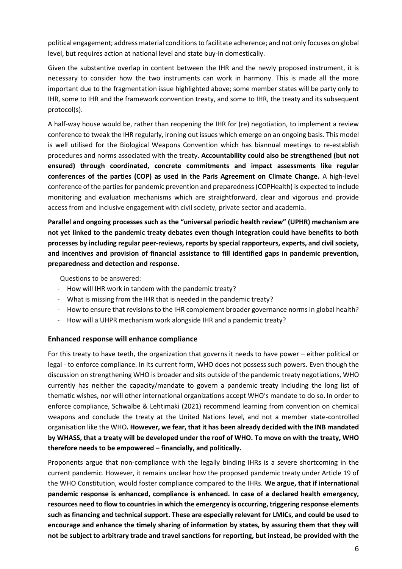political engagement; address material conditions to facilitate adherence; and not only focuses on global level, but requires action at national level and state buy-in domestically.

Given the substantive overlap in content between the IHR and the newly proposed instrument, it is necessary to consider how the two instruments can work in harmony. This is made all the more important due to the fragmentation issue highlighted above; some member states will be party only to IHR, some to IHR and the framework convention treaty, and some to IHR, the treaty and its subsequent protocol(s).

A half-way house would be, rather than reopening the IHR for (re) negotiation, to implement a review conference to tweak the IHR regularly, ironing out issues which emerge on an ongoing basis. This model is well utilised for the Biological Weapons Convention which has biannual meetings to re-establish procedures and norms associated with the treaty. **Accountability could also be strengthened (but not ensured) through coordinated, concrete commitments and impact assessments like regular conferences of the parties (COP) as used in the Paris Agreement on Climate Change.** A high-level conference of the parties for pandemic prevention and preparedness (COPHealth) is expected to include monitoring and evaluation mechanisms which are straightforward, clear and vigorous and provide access from and inclusive engagement with civil society, private sector and academia.

**Parallel and ongoing processes such as the "universal periodic health review" (UPHR) mechanism are not yet linked to the pandemic treaty debates even though integration could have benefits to both processes by including regular peer-reviews, reports by special rapporteurs, experts, and civil society, and incentives and provision of financial assistance to fill identified gaps in pandemic prevention, preparedness and detection and response.** 

Questions to be answered:

- How will IHR work in tandem with the pandemic treaty?
- What is missing from the IHR that is needed in the pandemic treaty?
- How to ensure that revisions to the IHR complement broader governance norms in global health?
- How will a UHPR mechanism work alongside IHR and a pandemic treaty?

## **Enhanced response will enhance compliance**

For this treaty to have teeth, the organization that governs it needs to have power – either political or legal - to enforce compliance. In its current form, WHO does not possess such powers. Even though the discussion on strengthening WHO is broader and sits outside of the pandemic treaty negotiations, WHO currently has neither the capacity/mandate to govern a pandemic treaty including the long list of thematic wishes, nor will other international organizations accept WHO's mandate to do so. In order to enforce compliance, Schwalbe & Lehtimaki (2021) recommend learning from convention on chemical weapons and conclude the treaty at the United Nations level, and not a member state-controlled organisation like the WHO**. However, we fear, that it has been already decided with the INB mandated by WHASS, that a treaty will be developed under the roof of WHO. To move on with the treaty, WHO therefore needs to be empowered – financially, and politically.**

Proponents argue that non-compliance with the legally binding IHRs is a severe shortcoming in the current pandemic. However, it remains unclear how the proposed pandemic treaty under Article 19 of the WHO Constitution, would foster compliance compared to the IHRs. **We argue, that if international pandemic response is enhanced, compliance is enhanced. In case of a declared health emergency, resources need to flow to countries in which the emergency is occurring, triggering response elements such as financing and technical support. These are especially relevant for LMICs, and could be used to encourage and enhance the timely sharing of information by states, by assuring them that they will not be subject to arbitrary trade and travel sanctions for reporting, but instead, be provided with the**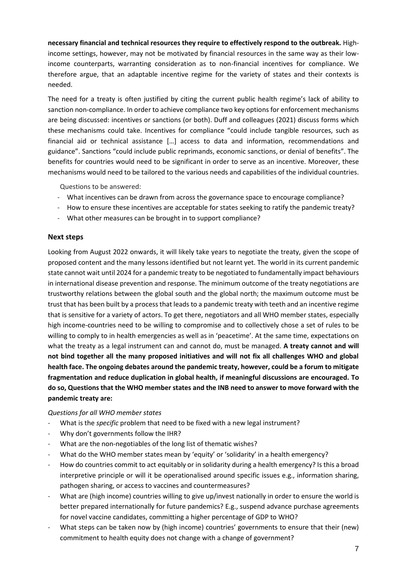**necessary financial and technical resources they require to effectively respond to the outbreak.** Highincome settings, however, may not be motivated by financial resources in the same way as their lowincome counterparts, warranting consideration as to non-financial incentives for compliance. We therefore argue, that an adaptable incentive regime for the variety of states and their contexts is needed.

The need for a treaty is often justified by citing the current public health regime's lack of ability to sanction non-compliance. In order to achieve compliance two key options for enforcement mechanisms are being discussed: incentives or sanctions (or both). Duff and colleagues (2021) discuss forms which these mechanisms could take. Incentives for compliance "could include tangible resources, such as financial aid or technical assistance […] access to data and information, recommendations and guidance". Sanctions "could include public reprimands, economic sanctions, or denial of benefits". The benefits for countries would need to be significant in order to serve as an incentive. Moreover, these mechanisms would need to be tailored to the various needs and capabilities of the individual countries.

Questions to be answered:

- What incentives can be drawn from across the governance space to encourage compliance?
- How to ensure these incentives are acceptable for states seeking to ratify the pandemic treaty?
- What other measures can be brought in to support compliance?

#### **Next steps**

Looking from August 2022 onwards, it will likely take years to negotiate the treaty, given the scope of proposed content and the many lessons identified but not learnt yet. The world in its current pandemic state cannot wait until 2024 for a pandemic treaty to be negotiated to fundamentally impact behaviours in international disease prevention and response. The minimum outcome of the treaty negotiations are trustworthy relations between the global south and the global north; the maximum outcome must be trust that has been built by a process that leads to a pandemic treaty with teeth and an incentive regime that is sensitive for a variety of actors. To get there, negotiators and all WHO member states, especially high income-countries need to be willing to compromise and to collectively chose a set of rules to be willing to comply to in health emergencies as well as in 'peacetime'. At the same time, expectations on what the treaty as a legal instrument can and cannot do, must be managed. **A treaty cannot and will not bind together all the many proposed initiatives and will not fix all challenges WHO and global health face. The ongoing debates around the pandemic treaty, however, could be a forum to mitigate fragmentation and reduce duplication in global health, if meaningful discussions are encouraged. To do so, Questions that the WHO member states and the INB need to answer to move forward with the pandemic treaty are:**

#### *Questions for all WHO member states*

- What is the *specific* problem that need to be fixed with a new legal instrument?
- Why don't governments follow the IHR?
- What are the non-negotiables of the long list of thematic wishes?
- What do the WHO member states mean by 'equity' or 'solidarity' in a health emergency?
- How do countries commit to act equitably or in solidarity during a health emergency? Is this a broad interpretive principle or will it be operationalised around specific issues e.g., information sharing, pathogen sharing, or access to vaccines and countermeasures?
- What are (high income) countries willing to give up/invest nationally in order to ensure the world is better prepared internationally for future pandemics? E.g., suspend advance purchase agreements for novel vaccine candidates, committing a higher percentage of GDP to WHO?
- What steps can be taken now by (high income) countries' governments to ensure that their (new) commitment to health equity does not change with a change of government?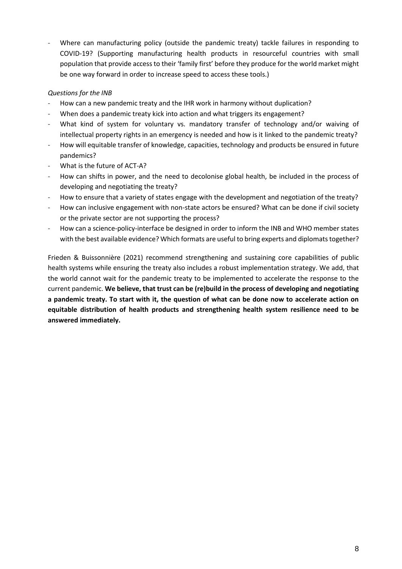Where can manufacturing policy (outside the pandemic treaty) tackle failures in responding to COVID-19? (Supporting manufacturing health products in resourceful countries with small population that provide access to their 'family first' before they produce for the world market might be one way forward in order to increase speed to access these tools.)

## *Questions for the INB*

- How can a new pandemic treaty and the IHR work in harmony without duplication?
- When does a pandemic treaty kick into action and what triggers its engagement?
- What kind of system for voluntary vs. mandatory transfer of technology and/or waiving of intellectual property rights in an emergency is needed and how is it linked to the pandemic treaty?
- How will equitable transfer of knowledge, capacities, technology and products be ensured in future pandemics?
- What is the future of ACT-A?
- How can shifts in power, and the need to decolonise global health, be included in the process of developing and negotiating the treaty?
- How to ensure that a variety of states engage with the development and negotiation of the treaty?
- How can inclusive engagement with non-state actors be ensured? What can be done if civil society or the private sector are not supporting the process?
- How can a science-policy-interface be designed in order to inform the INB and WHO member states with the best available evidence? Which formats are useful to bring experts and diplomats together?

Frieden & Buissonnière (2021) recommend strengthening and sustaining core capabilities of public health systems while ensuring the treaty also includes a robust implementation strategy. We add, that the world cannot wait for the pandemic treaty to be implemented to accelerate the response to the current pandemic. **We believe, that trust can be (re)build in the process of developing and negotiating a pandemic treaty. To start with it, the question of what can be done now to accelerate action on equitable distribution of health products and strengthening health system resilience need to be answered immediately.**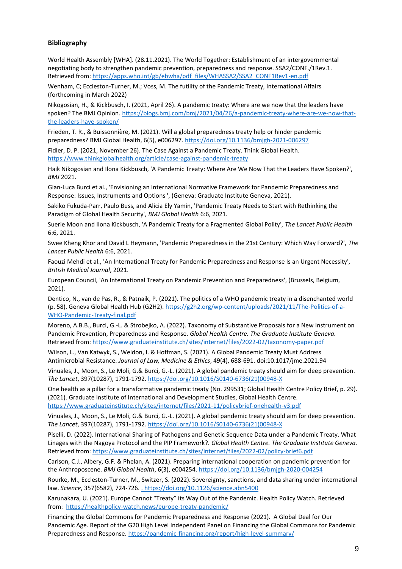#### **Bibliography**

World Health Assembly [WHA]. (28.11.2021). The World Together: Establishment of an intergovernmental negotiating body to strengthen pandemic prevention, preparedness and response. SSA2/CONF./1Rev.1. Retrieved from: [https://apps.who.int/gb/ebwha/pdf\\_files/WHASSA2/SSA2\\_CONF1Rev1-en.pdf](https://apps.who.int/gb/ebwha/pdf_files/WHASSA2/SSA2_CONF1Rev1-en.pdf)

Wenham, C; Eccleston-Turner, M.; Voss, M. The futility of the Pandemic Treaty, International Affairs (forthcoming in March 2022)

Nikogosian, H., & Kickbusch, I. (2021, April 26). A pandemic treaty: Where are we now that the leaders have spoken? The BMJ Opinion. [https://blogs.bmj.com/bmj/2021/04/26/a-pandemic-treaty-where-are-we-now-that](https://blogs.bmj.com/bmj/2021/04/26/a-pandemic-treaty-where-are-we-now-that-the-leaders-have-spoken/)[the-leaders-have-spoken/](https://blogs.bmj.com/bmj/2021/04/26/a-pandemic-treaty-where-are-we-now-that-the-leaders-have-spoken/)

Frieden, T. R., & Buissonnière, M. (2021). Will a global preparedness treaty help or hinder pandemic preparedness? BMJ Global Health, 6(5), e006297.<https://doi.org/10.1136/bmjgh-2021-006297>

Fidler, D. P. (2021, November 26). The Case Against a Pandemic Treaty. Think Global Health. <https://www.thinkglobalhealth.org/article/case-against-pandemic-treaty>

Haik Nikogosian and Ilona Kickbusch, 'A Pandemic Treaty: Where Are We Now That the Leaders Have Spoken?', *BMJ* 2021.

Gian-Luca Burci et al., 'Envisioning an International Normative Framework for Pandemic Preparedness and Response: Issues, Instruments and Options ', (Geneva: Graduate Institute Geneva, 2021).

Sakiko Fukuda-Parr, Paulo Buss, and Alicia Ely Yamin, 'Pandemic Treaty Needs to Start with Rethinking the Paradigm of Global Health Security', *BMJ Global Health* 6:6, 2021.

Suerie Moon and Ilona Kickbusch, 'A Pandemic Treaty for a Fragmented Global Polity', *The Lancet Public Health* 6:6, 2021.

Swee Kheng Khor and David L Heymann, 'Pandemic Preparedness in the 21st Century: Which Way Forward?', *The Lancet Public Health* 6:6, 2021.

Faouzi Mehdi et al., 'An International Treaty for Pandemic Preparedness and Response Is an Urgent Necessity', *British Medical Journal*, 2021.

European Council, 'An International Treaty on Pandemic Prevention and Preparedness', (Brussels, Belgium, 2021).

Dentico, N., van de Pas, R., & Patnaik, P. (2021). The politics of a WHO pandemic treaty in a disenchanted world (p. 58). Geneva Global Health Hub (G2H2). [https://g2h2.org/wp-content/uploads/2021/11/The-Politics-of-a-](https://g2h2.org/wp-content/uploads/2021/11/The-Politics-of-a-WHO-Pandemic-Treaty-final.pdf)[WHO-Pandemic-Treaty-final.pdf](https://g2h2.org/wp-content/uploads/2021/11/The-Politics-of-a-WHO-Pandemic-Treaty-final.pdf)

Moreno, A.B.B., Burci, G.-L. & Strobejko, A. (2022). Taxonomy of Substantive Proposals for a New Instrument on Pandemic Prevention, Preparedness and Response. *Global Health Centre. The Graduate Institute Geneva.* Retrieved from:<https://www.graduateinstitute.ch/sites/internet/files/2022-02/taxonomy-paper.pdf>

Wilson, L., Van Katwyk, S., Weldon, I. & Hoffman, S. (2021). A Global Pandemic Treaty Must Address Antimicrobial Resistance. *Journal of Law, Medicine & Ethics*, 49(4), 688-691. doi:10.1017/jme.2021.94

Vinuales, J., Moon, S., Le Moli, G.& Burci, G.-L. (2021). A global pandemic treaty should aim for deep prevention. *The Lancet*, 397(10287), 1791-1792. [https://doi.org/10.1016/S0140-6736\(21\)00948-X](https://doi.org/10.1016/S0140-6736(21)00948-X)

One health as a pillar for a transformative pandemic treaty (No. 299531; Global Health Centre Policy Brief, p. 29). (2021). Graduate Institute of International and Development Studies, Global Health Centre. <https://www.graduateinstitute.ch/sites/internet/files/2021-11/policybrief-onehealth-v3.pdf>

Vinuales, J., Moon, S., Le Moli, G.& Burci, G.-L. (2021). A global pandemic treaty should aim for deep prevention. *The Lancet*, 397(10287), 1791-1792. [https://doi.org/10.1016/S0140-6736\(21\)00948-X](https://doi.org/10.1016/S0140-6736(21)00948-X)

Piselli, D. (2022). International Sharing of Pathogens and Genetic Sequence Data under a Pandemic Treaty. What Linages with the Nagoya Protocol and the PIP Framework?. *Global Health Centre. The Graduate Institute Geneva.* Retrieved from:<https://www.graduateinstitute.ch/sites/internet/files/2022-02/policy-brief6.pdf>

Carlson, C.J., Albery, G.F. & Phelan, A. (2021). Preparing international cooperation on pandemic prevention for the Anthroposcene. *BMJ Global Health*, 6(3), e004254[. https://doi.org/10.1136/bmjgh-2020-004254](https://doi.org/10.1136/bmjgh-2020-004254)

Rourke, M., Eccleston-Turner, M., Switzer, S. (2022). Sovereignty, sanctions, and data sharing under international law. *Science*, 357(6582), 724-726. [. https://doi.org/10.1126/science.abn5400](file:///C:/Users/maike/Desktop/Nextcloud/CPHP/Pandemic%20Treaty%20Project/Publications/Policy%20Brief/.%20https:/doi.org/10.1126/science.abn5400)

Karunakara, U. (2021). Europe Cannot "Treaty" its Way Out of the Pandemic. Health Policy Watch. Retrieved from: <https://healthpolicy-watch.news/europe-treaty-pandemic/>

Financing the Global Commons for Pandemic Preparedness and Response (2021). A Global Deal for Our Pandemic Age. Report of the G20 High Level Independent Panel on Financing the Global Commons for Pandemic Preparedness and Response.<https://pandemic-financing.org/report/high-level-summary/>